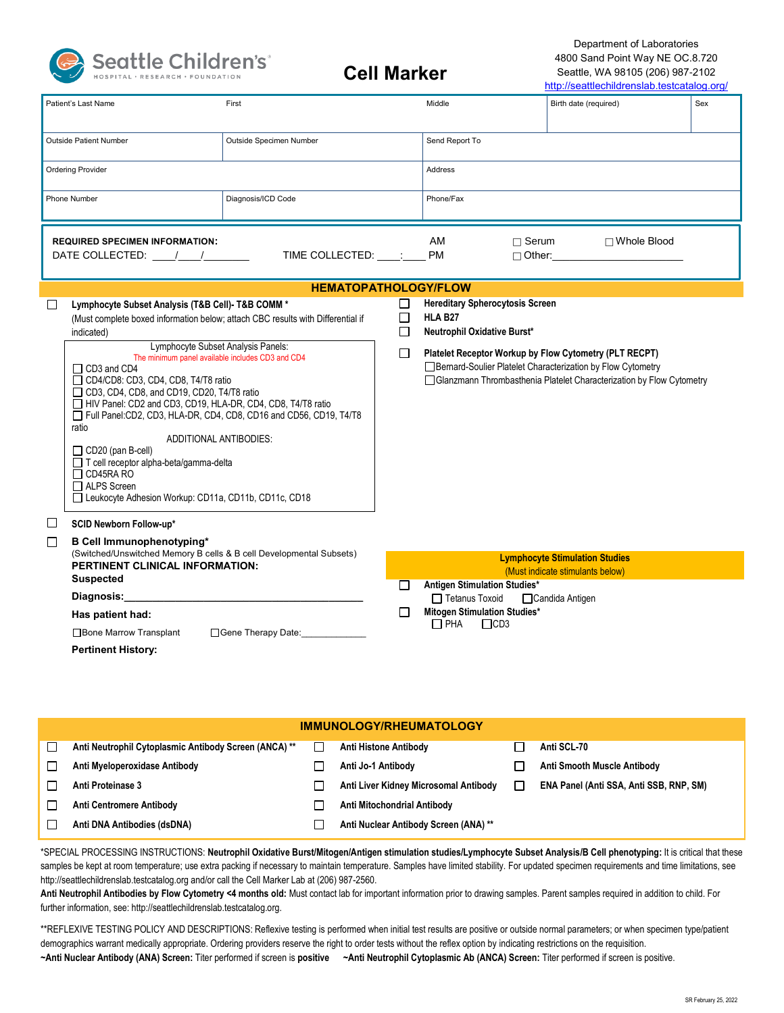

## **Cell Marker**

Department of Laboratories 4800 Sand Point Way NE OC.8.720 Seattle, WA 98105 (206) 987-2102 http://seattlechildrenslab.testcatalog.org/

| Patient's Last Name                               |                                                                                                           | First                                                               |                | Middle                                                                                                    | Birth date (required) | Sex |  |  |
|---------------------------------------------------|-----------------------------------------------------------------------------------------------------------|---------------------------------------------------------------------|----------------|-----------------------------------------------------------------------------------------------------------|-----------------------|-----|--|--|
|                                                   |                                                                                                           |                                                                     |                |                                                                                                           |                       |     |  |  |
|                                                   |                                                                                                           |                                                                     |                |                                                                                                           |                       |     |  |  |
| Outside Patient Number<br>Outside Specimen Number |                                                                                                           |                                                                     | Send Report To |                                                                                                           |                       |     |  |  |
| <b>Ordering Provider</b>                          |                                                                                                           |                                                                     |                | <b>Address</b>                                                                                            |                       |     |  |  |
|                                                   |                                                                                                           |                                                                     |                |                                                                                                           |                       |     |  |  |
|                                                   | Phone Number                                                                                              | Diagnosis/ICD Code                                                  |                | Phone/Fax                                                                                                 |                       |     |  |  |
|                                                   |                                                                                                           |                                                                     |                |                                                                                                           |                       |     |  |  |
|                                                   | <b>REQUIRED SPECIMEN INFORMATION:</b>                                                                     |                                                                     |                | $\Box$ Serum<br>AM                                                                                        | □ Whole Blood         |     |  |  |
|                                                   | DATE COLLECTED: / /                                                                                       | TIME COLLECTED: :                                                   |                | <b>PM</b>                                                                                                 |                       |     |  |  |
|                                                   |                                                                                                           |                                                                     |                |                                                                                                           |                       |     |  |  |
|                                                   |                                                                                                           | <b>HEMATOPATHOLOGY/FLOW</b>                                         |                |                                                                                                           |                       |     |  |  |
| $\Box$                                            | Lymphocyte Subset Analysis (T&B Cell)- T&B COMM *                                                         |                                                                     | $\Box$         | <b>Hereditary Spherocytosis Screen</b>                                                                    |                       |     |  |  |
|                                                   | (Must complete boxed information below; attach CBC results with Differential if                           |                                                                     | □              | HLA B <sub>27</sub>                                                                                       |                       |     |  |  |
|                                                   | indicated)                                                                                                |                                                                     | □              | Neutrophil Oxidative Burst*                                                                               |                       |     |  |  |
|                                                   | Lymphocyte Subset Analysis Panels:                                                                        |                                                                     | □              | Platelet Receptor Workup by Flow Cytometry (PLT RECPT)                                                    |                       |     |  |  |
|                                                   | The minimum panel available includes CD3 and CD4<br>$\Box$ CD3 and CD4                                    |                                                                     |                | □ Bernard-Soulier Platelet Characterization by Flow Cytometry                                             |                       |     |  |  |
|                                                   | CD4/CD8: CD3, CD4, CD8, T4/T8 ratio                                                                       |                                                                     |                | □ Glanzmann Thrombasthenia Platelet Characterization by Flow Cytometry                                    |                       |     |  |  |
|                                                   | CD3, CD4, CD8, and CD19, CD20, T4/T8 ratio<br>HIV Panel: CD2 and CD3, CD19, HLA-DR, CD4, CD8, T4/T8 ratio |                                                                     |                |                                                                                                           |                       |     |  |  |
|                                                   | Full Panel: CD2, CD3, HLA-DR, CD4, CD8, CD16 and CD56, CD19, T4/T8                                        |                                                                     |                |                                                                                                           |                       |     |  |  |
|                                                   | ratio                                                                                                     |                                                                     |                |                                                                                                           |                       |     |  |  |
|                                                   | <b>ADDITIONAL ANTIBODIES:</b><br>CD20 (pan B-cell)                                                        |                                                                     |                |                                                                                                           |                       |     |  |  |
| □ T cell receptor alpha-beta/gamma-delta          |                                                                                                           |                                                                     |                |                                                                                                           |                       |     |  |  |
|                                                   | $\Box$ CD45RA RO<br>□ ALPS Screen                                                                         |                                                                     |                |                                                                                                           |                       |     |  |  |
|                                                   | □ Leukocyte Adhesion Workup: CD11a, CD11b, CD11c, CD18                                                    |                                                                     |                |                                                                                                           |                       |     |  |  |
|                                                   |                                                                                                           |                                                                     |                |                                                                                                           |                       |     |  |  |
| $\perp$                                           | SCID Newborn Follow-up*                                                                                   |                                                                     |                |                                                                                                           |                       |     |  |  |
| $\Box$                                            | <b>B Cell Immunophenotyping*</b>                                                                          | (Switched/Unswitched Memory B cells & B cell Developmental Subsets) |                |                                                                                                           |                       |     |  |  |
|                                                   | PERTINENT CLINICAL INFORMATION:<br><b>Suspected</b>                                                       |                                                                     |                | <b>Lymphocyte Stimulation Studies</b><br>(Must indicate stimulants below)<br>Antigen Stimulation Studies* |                       |     |  |  |
|                                                   |                                                                                                           |                                                                     | $\Box$         |                                                                                                           |                       |     |  |  |
|                                                   | Diagnosis:                                                                                                |                                                                     |                | $\Box$ Tetanus Toxoid                                                                                     | □Candida Antigen      |     |  |  |
|                                                   | Has patient had:                                                                                          |                                                                     |                | <b>Mitogen Stimulation Studies*</b>                                                                       |                       |     |  |  |
|                                                   | □ Bone Marrow Transplant                                                                                  | □ Gene Therapy Date:                                                |                | $\overline{\Box}$ PHA<br>$\Box$ CD3                                                                       |                       |     |  |  |
|                                                   | <b>Pertinent History:</b>                                                                                 |                                                                     |                |                                                                                                           |                       |     |  |  |
|                                                   |                                                                                                           |                                                                     |                |                                                                                                           |                       |     |  |  |

| <b>IMMUNOLOGY/RHEUMATOLOGY</b> |                                                       |                |                                       |    |                                         |  |
|--------------------------------|-------------------------------------------------------|----------------|---------------------------------------|----|-----------------------------------------|--|
| П                              | Anti Neutrophil Cytoplasmic Antibody Screen (ANCA) ** | $\blacksquare$ | <b>Anti Histone Antibody</b>          |    | Anti SCL-70                             |  |
| □                              | Anti Myeloperoxidase Antibody                         |                | Anti Jo-1 Antibody                    |    | Anti Smooth Muscle Antibody             |  |
| $\mathsf{L}$                   | Anti Proteinase 3                                     |                | Anti Liver Kidney Microsomal Antibody | I. | ENA Panel (Anti SSA, Anti SSB, RNP, SM) |  |
| П                              | <b>Anti Centromere Antibody</b>                       |                | Anti Mitochondrial Antibody           |    |                                         |  |
| П                              | Anti DNA Antibodies (dsDNA)                           |                | Anti Nuclear Antibody Screen (ANA) ** |    |                                         |  |
|                                |                                                       |                |                                       |    |                                         |  |

\*SPECIAL PROCESSING INSTRUCTIONS: **Neutrophil Oxidative Burst/Mitogen/Antigen stimulation studies/Lymphocyte Subset Analysis/B Cell phenotyping:** It is critical that these samples be kept at room temperature; use extra packing if necessary to maintain temperature. Samples have limited stability. For updated specimen requirements and time limitations, see http://seattlechildrenslab.testcatalog.org and/or call the Cell Marker Lab at (206) 987-2560.

Anti Neutrophil Antibodies by Flow Cytometry <4 months old: Must contact lab for important information prior to drawing samples. Parent samples required in addition to child. For further information, see: http://seattlechildrenslab.testcatalog.org.

\*\*REFLEXIVE TESTING POLICY AND DESCRIPTIONS: Reflexive testing is performed when initial test results are positive or outside normal parameters; or when specimen type/patient demographics warrant medically appropriate. Ordering providers reserve the right to order tests without the reflex option by indicating restrictions on the requisition. **~Anti Nuclear Antibody (ANA) Screen:** Titer performed if screen is **positive ~Anti Neutrophil Cytoplasmic Ab (ANCA) Screen:** Titer performed if screen is positive.